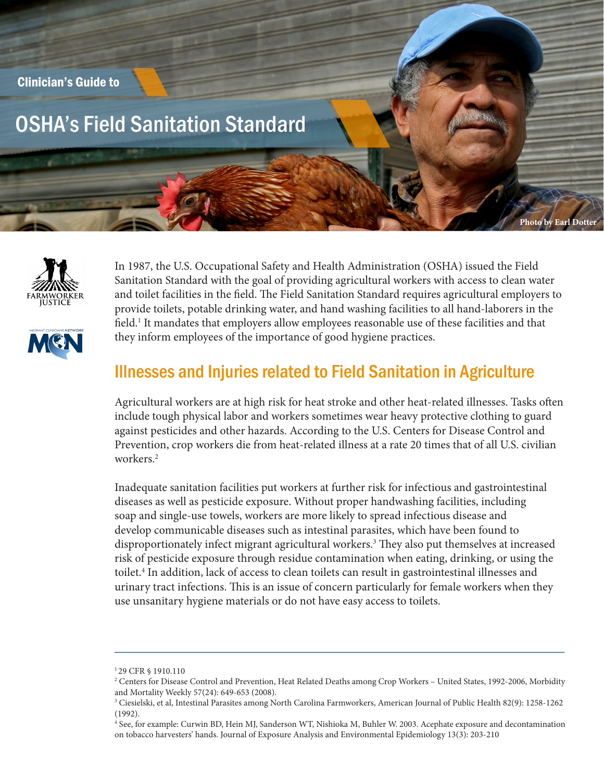





In 1987, the U.S. Occupational Safety and Health Administration (OSHA) issued the Field Sanitation Standard with the goal of providing agricultural workers with access to clean water and toilet facilities in the field. The Field Sanitation Standard requires agricultural employers to provide toilets, potable drinking water, and hand washing facilities to all hand-laborers in the field.<sup>1</sup> It mandates that employers allow employees reasonable use of these facilities and that they inform employees of the importance of good hygiene practices.

## Illnesses and Injuries related to Field Sanitation in Agriculture

Agricultural workers are at high risk for heat stroke and other heat-related illnesses. Tasks often include tough physical labor and workers sometimes wear heavy protective clothing to guard against pesticides and other hazards. According to the U.S. Centers for Disease Control and Prevention, crop workers die from heat-related illness at a rate 20 times that of all U.S. civilian workers.2

Inadequate sanitation facilities put workers at further risk for infectious and gastrointestinal diseases as well as pesticide exposure. Without proper handwashing facilities, including soap and single-use towels, workers are more likely to spread infectious disease and develop communicable diseases such as intestinal parasites, which have been found to disproportionately infect migrant agricultural workers.<sup>3</sup> They also put themselves at increased risk of pesticide exposure through residue contamination when eating, drinking, or using the toilet.<sup>4</sup> In addition, lack of access to clean toilets can result in gastrointestinal illnesses and urinary tract infections. This is an issue of concern particularly for female workers when they use unsanitary hygiene materials or do not have easy access to toilets.

<sup>1 29</sup> CFR § 1910.110

<sup>2</sup> Centers for Disease Control and Prevention, Heat Related Deaths among Crop Workers – United States, 1992-2006, Morbidity and Mortality Weekly 57(24): 649-653 (2008).

<sup>3</sup> Ciesielski, et al, Intestinal Parasites among North Carolina Farmworkers, American Journal of Public Health 82(9): 1258-1262 (1992).

<sup>4</sup> See, for example: Curwin BD, Hein MJ, Sanderson WT, Nishioka M, Buhler W. 2003. Acephate exposure and decontamination on tobacco harvesters' hands. Journal of Exposure Analysis and Environmental Epidemiology 13(3): 203-210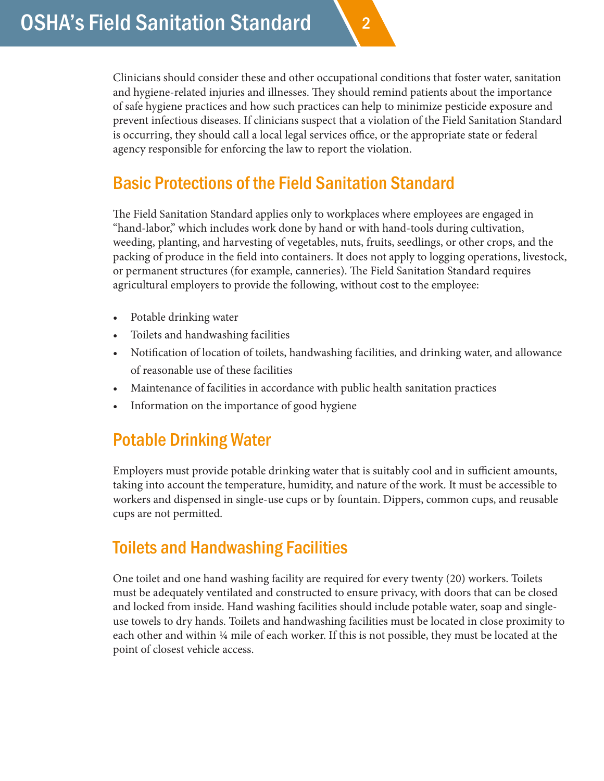Clinicians should consider these and other occupational conditions that foster water, sanitation and hygiene-related injuries and illnesses. They should remind patients about the importance of safe hygiene practices and how such practices can help to minimize pesticide exposure and prevent infectious diseases. If clinicians suspect that a violation of the Field Sanitation Standard is occurring, they should call a local legal services office, or the appropriate state or federal agency responsible for enforcing the law to report the violation.

2

# Basic Protections of the Field Sanitation Standard

The Field Sanitation Standard applies only to workplaces where employees are engaged in "hand-labor," which includes work done by hand or with hand-tools during cultivation, weeding, planting, and harvesting of vegetables, nuts, fruits, seedlings, or other crops, and the packing of produce in the field into containers. It does not apply to logging operations, livestock, or permanent structures (for example, canneries). The Field Sanitation Standard requires agricultural employers to provide the following, without cost to the employee:

- Potable drinking water
- Toilets and handwashing facilities
- Notification of location of toilets, handwashing facilities, and drinking water, and allowance of reasonable use of these facilities
- Maintenance of facilities in accordance with public health sanitation practices
- Information on the importance of good hygiene

# Potable Drinking Water

Employers must provide potable drinking water that is suitably cool and in sufficient amounts, taking into account the temperature, humidity, and nature of the work. It must be accessible to workers and dispensed in single-use cups or by fountain. Dippers, common cups, and reusable cups are not permitted.

# Toilets and Handwashing Facilities

One toilet and one hand washing facility are required for every twenty (20) workers. Toilets must be adequately ventilated and constructed to ensure privacy, with doors that can be closed and locked from inside. Hand washing facilities should include potable water, soap and singleuse towels to dry hands. Toilets and handwashing facilities must be located in close proximity to each other and within ¼ mile of each worker. If this is not possible, they must be located at the point of closest vehicle access.